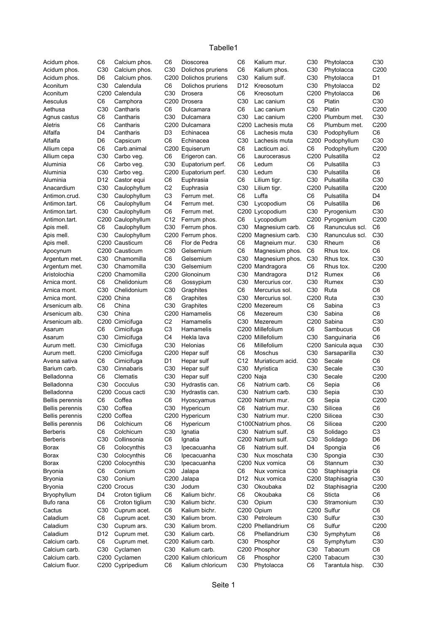## Tabelle1

| Acidum phos.<br>Acidum phos.       |
|------------------------------------|
| Acidum phos.                       |
|                                    |
| Aconitum                           |
| Aconitum                           |
|                                    |
| Aesculus                           |
| Aethusa                            |
|                                    |
| Agnus castus                       |
|                                    |
| Aletris                            |
| Alfalfa                            |
|                                    |
| Alfalfa                            |
| Allium cepa                        |
|                                    |
| Allium cepa                        |
| Aluminia                           |
|                                    |
| Aluminia                           |
| Aluminia                           |
|                                    |
| Anacardium                         |
| Antimon.crud.                      |
|                                    |
| Antimon.tart.                      |
| Antimon.tart.                      |
|                                    |
| Antimon.tart.                      |
| Apis mell.                         |
|                                    |
| Apis mell.                         |
|                                    |
| Apis mell.                         |
| Apocynum                           |
|                                    |
| Argentum met.                      |
| Argentum met.                      |
|                                    |
| Aristolochia                       |
| Arnica mont.                       |
|                                    |
| Arnica mont.                       |
| Arnica mont.                       |
|                                    |
|                                    |
| Arsenicum alb.                     |
|                                    |
| Arsenicum alb.                     |
| Arsenicum alb.                     |
|                                    |
| Asarum                             |
| Asarum                             |
|                                    |
| Aurum mett.                        |
| Aurum mett.                        |
|                                    |
| Avena sativa                       |
| Barium carb.                       |
|                                    |
| Belladonna                         |
| Belladonna                         |
|                                    |
| Belladonna                         |
|                                    |
|                                    |
| Bellis perennis<br>Bellis perennis |
|                                    |
| <b>Bellis perennis</b>             |
| Bellis perennis                    |
| Berberis                           |
|                                    |
| <b>Berberis</b>                    |
| Borax                              |
|                                    |
| Borax                              |
| Borax                              |
|                                    |
| Bryonia                            |
| Bryonia                            |
|                                    |
| Bryonia                            |
|                                    |
| Bryophyllum                        |
| Bufo rana                          |
|                                    |
| Cactus                             |
| Caladium                           |
| Caladium                           |
|                                    |
| Caladium                           |
| Calcium carb.                      |
|                                    |
| Calcium carb.                      |
| Calcium carb.                      |

Kalium bichr.

Colocynthis C3 Ipecacuanha C6 Natrium sulf. D4 Spongia C<sub>200</sub> Nux vomica Bryonia Conconium C30 Jalapa Control Control Control Control Control Control Control Control Control Control C

Acidum phos. C6 Calcium phos. C6 Dioscorea C6 Kalium mur. C30 Phytolacca C30 Acidum phos. C30 Calcium phos. C30 Dolichos pruriens C6 Kalium phos. C30 Phytolacca C200 D6 Calcium phos. C200 Dolichos pruriens C30 Kalium sulf. C30 Phytolacca D1 C30 Calendula C6 Dolichos pruriens D12 Kreosotum C30 Phytolacca D2 Aconitum C200 Calendula C30 Drosera C6 Kreosotum C200 Phytolacca D6 C6 Camphora C200 Drosera C30 Lac canium C6 Platin C30 Aethusa C30 Cantharis C6 Dulcamara C6 Lac canium C30 Platin C200 C6 Cantharis C30 Dulcamara C30 Lac canium C200 Plumbum met. C30 Aletris C6 Cantharis C200 Dulcamara C200 Lachesis muta C6 Plumbum met. C200 D4 Cantharis D3 Echinacea C6 Lachesis muta C30 Podophyllum C6 D6 Capsicum C6 Echinacea C30 Lachesis muta C200 Podophyllum C30 C6 Carb.animal C200 Equiserum C6 Lacticum aci. C6 Podophyllum C200 Allium cepa C30 Carbo veg. C6 Erigeron can. C6 Laurocerasus C200 Pulsatilla C2 Aluminia C6 Carbo veg. C30 Eupatorium perf. C6 Ledum C6 Pulsatilla C3 C30 Carbo veg. C200 Eupatorium perf. C30 Ledum C30 Pulsatilla C6 Aluminia D12 Castor equi C6 Euphrasia C6 Lilium tigr. C30 Pulsatilla C30 Anacardium C30 Caulophyllum C2 Euphrasia C30 Lilium tigr. C200 Pulsatilla C200 Antimon.crud. C30 Caulophyllum C3 Ferrum met. C6 Luffa C6 Pulsatilla D4 C6 Caulophyllum C4 Ferrum met. C30 Lycopodium C6 Pulsatilla D6 C30 Caulophyllum C6 Ferrum met. C200 Lycopodium C30 Pyrogenium C30 C200 Caulophyllum C12 Ferrum phos. C6 Lycopodium C200 Pyrogenium C200 C6 Caulophyllum C30 Ferrum phos. C30 Magnesium carb. C6 Ranunculus scl. C6 C30 Caulophyllum C200 Ferrum phos. C200 Magnesium carb. C30 Ranunculus scl. C30 C200 Causticum C6 Flor de Pedra C6 Magneium mur. C30 Rheum C6 C200 Causticum C30 Gelsemium C6 Magnesium phos. C6 Rhus tox. C6 C30 Chamomilla C6 Gelsemium C30 Magnesium phos. C30 Rhus tox. C30 Argentum met. C30 Chamomilla C30 Gelsemium C200 Mandragora C6 Rhus tox. C200 Aristolochia C200 Chamomilla C200 Glonoinum C30 Mandragora D12 Rumex C6 C6 Chelidonium C6 Gossypium C30 Mercurius cor. C30 Rumex C30 Arnica mont. C30 Chelidonium C30 Graphites C6 Mercurius sol. C30 Ruta C6 Arnica mont. C200 China C6 Graphites C30 Mercurius sol. C200 Ruta C30 C6 China C30 Graphites C200 Mezereum C6 Sabina C3 C30 China C200 Hamamelis C6 Mezereum C30 Sabina C6 C200 Cimicifuga C2 Hamamelis C30 Mezereum C200 Sabina C30 C6 Cimicifuga C3 Hamamelis C200 Millefolium C6 Sambucus C6 Asarum C30 Cimicifuga C4 Hekla lava C200 Millefolium C30 Sanguinaria C6 Aurum mett. C30 Cimicifuga C30 Helonias C6 Millefolium C200 Sanicula aqua C30 Aurum mett. C200 Cimicifuga C200 Hepar sulf C6 Moschus C30 Sarsaparilla C30 C6 Cimicifuga D1 Hepar sulf C12 Muriaticum acid. C30 Secale C6 Barium carb. C30 Cinnabaris C30 Hepar sulf C30 Myristica C30 Secale C30 Belladonna C6 Clematis C30 Hepar sulf C200 Naja C30 Secale C200 Belladonna C30 Cocculus C30 Hydrastis can. C6 Natrium carb. C6 Sepia C6 C200 Cocus cacti C30 Hydrastis can. C30 Natrium carb. C30 Sepia C30 C6 Coffea C6 Hyoscyamus C200 Natrium mur. C6 Sepia C200 Bellis perennis C30 Coffea C30 Hypericum C6 Natrium mur. C30 Silicea C6 Bellis perennis C200 Coffea C200 Hypericum C30 Natrium mur. C200 Silicea C30 D6 Colchicum C6 Hypericum C100CNatrium phos. C6 Silicea C200 C6 Colchicum C30 Ignatia C30 Natrium sulf. C6 Solidago C3 C30 C6 C200 C30 D6 Berberis Collinsonia Ignatia Natrium sulf. Solidago Borax 6 C6 Colocynthis C3 Ipecacuanha C6 Natrium sulf. D4 Spongia C6 Borax C30 C6 C30 C30 C30 Colocynthis Ipecacuanha Nux moschata Spongia C200 Colocynthis C30 Ipecacuanha C200 Nux vomica C6 Stannum C30 C6 Conium C30 Jalapa C6 Nux vomica C30 Staphisagria C6 C30 C200 D12 C200 C30 Bryonia Conium Jalapa Nux vomica Staphisagria C200 C30 C30 D2 C200 Bryonia Crocus Jodum Okoubaka Staphisagria Bryophyllum D4 Croton tiglium C6 Kalium bichr. C6 Okoubaka C6 Sticta C6 C6 C6 C30 C30 Opium C30 C30 Bufo rana Croton tiglium Kalium bichr. Stramonium C30 Cuprum acet. C6 Kalium bichr. C200 Opium C200 Sulfur C6 Caladium C6 Cuprum acet. C30 Kalium brom. C30 Petroleum C30 Sulfur C30 Caladium C30 Cuprum ars. C30 Kalium brom. C200 Phellandrium C6 Sulfur C200 Caladium D12 Cuprum met. C30 Kalium carb. C6 Phellandrium C30 Symphytum C6 Calcium carb. C6 Cuprum met. C200 Kalium carb. C30 Phosphor C6 Symphytum C30 Calcium carb. C30 Cyclamen C30 Kalium carb. C200 Phosphor C6 Calcium carb. C200 Cyclamen C200 Kalium chloricum C6 Phosphor C200 Tabacum C30 Calcium fluor. C200 Cypripedium C6 Kalium chloricum C30 Phytolacca C6 Tarantula hisp. C30